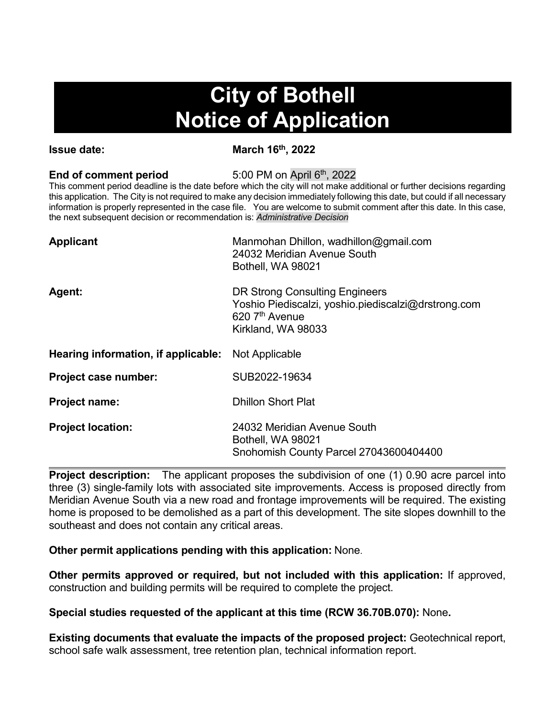## **City of Bothell Notice of Application**

**Issue date:** March 16<sup>th</sup>, 2022

## **End of comment period** 5:00 PM on April 6<sup>th</sup>, 2022

This comment period deadline is the date before which the city will not make additional or further decisions regarding this application. The City is not required to make any decision immediately following this date, but could if all necessary information is properly represented in the case file. You are welcome to submit comment after this date. In this case, the next subsequent decision or recommendation is: *Administrative Decision*

| Manmohan Dhillon, wadhillon@gmail.com<br>24032 Meridian Avenue South<br>Bothell, WA 98021                                                   |
|---------------------------------------------------------------------------------------------------------------------------------------------|
| DR Strong Consulting Engineers<br>Yoshio Piediscalzi, yoshio piediscalzi@drstrong.com<br>$620$ 7 <sup>th</sup> Avenue<br>Kirkland, WA 98033 |
| Not Applicable                                                                                                                              |
| SUB2022-19634                                                                                                                               |
| <b>Dhillon Short Plat</b>                                                                                                                   |
| 24032 Meridian Avenue South<br>Bothell, WA 98021<br>Snohomish County Parcel 27043600404400                                                  |
|                                                                                                                                             |

**Project description:** The applicant proposes the subdivision of one (1) 0.90 acre parcel into three (3) single-family lots with associated site improvements. Access is proposed directly from Meridian Avenue South via a new road and frontage improvements will be required. The existing home is proposed to be demolished as a part of this development. The site slopes downhill to the southeast and does not contain any critical areas.

**Other permit applications pending with this application:** None.

**Other permits approved or required, but not included with this application:** If approved, construction and building permits will be required to complete the project.

**Special studies requested of the applicant at this time (RCW 36.70B.070):** None**.**

**Existing documents that evaluate the impacts of the proposed project:** Geotechnical report, school safe walk assessment, tree retention plan, technical information report.